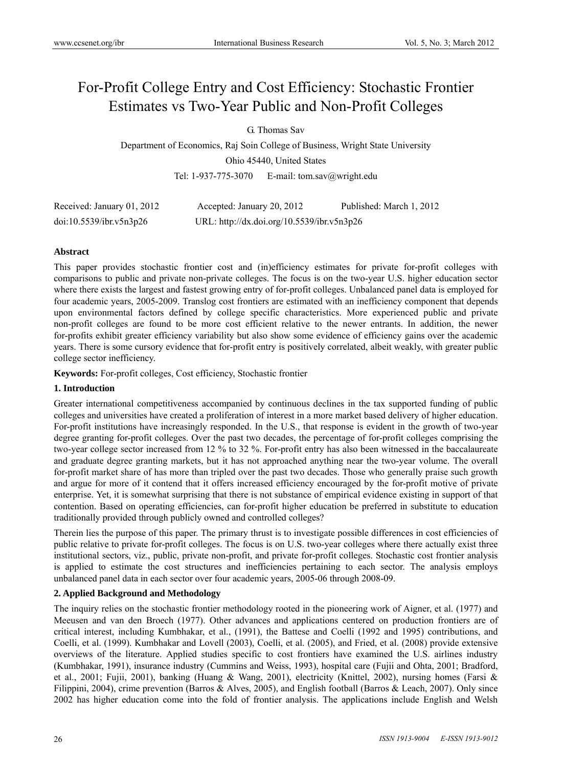# For-Profit College Entry and Cost Efficiency: Stochastic Frontier Estimates vs Two-Year Public and Non-Profit Colleges

G. Thomas Sav

Department of Economics, Raj Soin College of Business, Wright State University Ohio 45440, United States Tel: 1-937-775-3070 E-mail: tom.sav@wright.edu

Received: January 01, 2012 Accepted: January 20, 2012 Published: March 1, 2012 doi:10.5539/ibr.v5n3p26 URL: http://dx.doi.org/10.5539/ibr.v5n3p26

# **Abstract**

This paper provides stochastic frontier cost and (in)efficiency estimates for private for-profit colleges with comparisons to public and private non-private colleges. The focus is on the two-year U.S. higher education sector where there exists the largest and fastest growing entry of for-profit colleges. Unbalanced panel data is employed for four academic years, 2005-2009. Translog cost frontiers are estimated with an inefficiency component that depends upon environmental factors defined by college specific characteristics. More experienced public and private non-profit colleges are found to be more cost efficient relative to the newer entrants. In addition, the newer for-profits exhibit greater efficiency variability but also show some evidence of efficiency gains over the academic years. There is some cursory evidence that for-profit entry is positively correlated, albeit weakly, with greater public college sector inefficiency.

**Keywords:** For-profit colleges, Cost efficiency, Stochastic frontier

## **1. Introduction**

Greater international competitiveness accompanied by continuous declines in the tax supported funding of public colleges and universities have created a proliferation of interest in a more market based delivery of higher education. For-profit institutions have increasingly responded. In the U.S., that response is evident in the growth of two-year degree granting for-profit colleges. Over the past two decades, the percentage of for-profit colleges comprising the two-year college sector increased from 12 % to 32 %. For-profit entry has also been witnessed in the baccalaureate and graduate degree granting markets, but it has not approached anything near the two-year volume. The overall for-profit market share of has more than tripled over the past two decades. Those who generally praise such growth and argue for more of it contend that it offers increased efficiency encouraged by the for-profit motive of private enterprise. Yet, it is somewhat surprising that there is not substance of empirical evidence existing in support of that contention. Based on operating efficiencies, can for-profit higher education be preferred in substitute to education traditionally provided through publicly owned and controlled colleges?

Therein lies the purpose of this paper. The primary thrust is to investigate possible differences in cost efficiencies of public relative to private for-profit colleges. The focus is on U.S. two-year colleges where there actually exist three institutional sectors, viz., public, private non-profit, and private for-profit colleges. Stochastic cost frontier analysis is applied to estimate the cost structures and inefficiencies pertaining to each sector. The analysis employs unbalanced panel data in each sector over four academic years, 2005-06 through 2008-09.

# **2. Applied Background and Methodology**

The inquiry relies on the stochastic frontier methodology rooted in the pioneering work of Aigner, et al. (1977) and Meeusen and van den Broech (1977). Other advances and applications centered on production frontiers are of critical interest, including Kumbhakar, et al., (1991), the Battese and Coelli (1992 and 1995) contributions, and Coelli, et al. (1999). Kumbhakar and Lovell (2003), Coelli, et al. (2005), and Fried, et al. (2008) provide extensive overviews of the literature. Applied studies specific to cost frontiers have examined the U.S. airlines industry (Kumbhakar, 1991), insurance industry (Cummins and Weiss, 1993), hospital care (Fujii and Ohta, 2001; Bradford, et al., 2001; Fujii, 2001), banking (Huang & Wang, 2001), electricity (Knittel, 2002), nursing homes (Farsi & Filippini, 2004), crime prevention (Barros & Alves, 2005), and English football (Barros & Leach, 2007). Only since 2002 has higher education come into the fold of frontier analysis. The applications include English and Welsh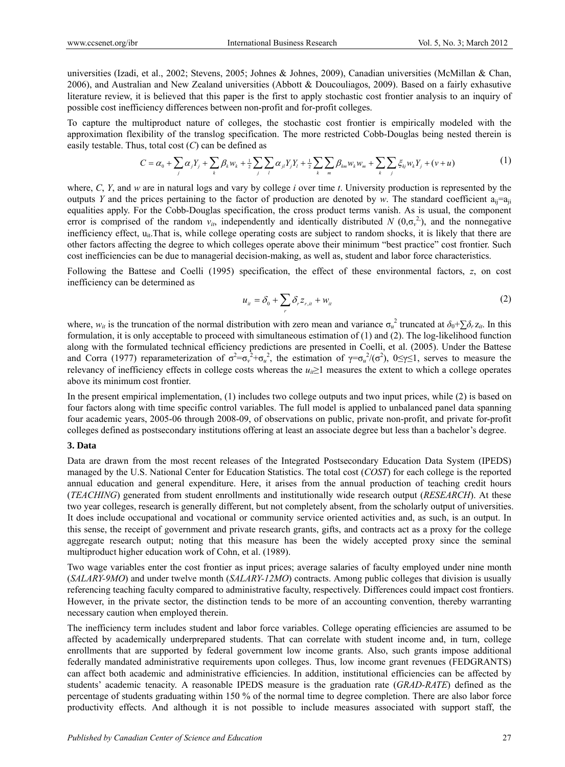universities (Izadi, et al., 2002; Stevens, 2005; Johnes & Johnes, 2009), Canadian universities (McMillan & Chan, 2006), and Australian and New Zealand universities (Abbott & Doucouliagos, 2009). Based on a fairly exhasutive literature review, it is believed that this paper is the first to apply stochastic cost frontier analysis to an inquiry of possible cost inefficiency differences between non-profit and for-profit colleges.

To capture the multiproduct nature of colleges, the stochastic cost frontier is empirically modeled with the approximation flexibility of the translog specification. The more restricted Cobb-Douglas being nested therein is easily testable. Thus, total cost (*C*) can be defined as

$$
C = \alpha_0 + \sum_j \alpha_j Y_j + \sum_k \beta_k w_k + \frac{1}{2} \sum_j \sum_l \alpha_{jl} Y_j Y_l + \frac{1}{2} \sum_k \sum_m \beta_{km} w_k w_m + \sum_k \sum_j \xi_{kj} w_k Y_j + (v + u)
$$
(1)

where, *C*, *Y*, and *w* are in natural logs and vary by college *i* over time *t*. University production is represented by the outputs *Y* and the prices pertaining to the factor of production are denoted by *w*. The standard coefficient  $a_{ii}=a_{ii}$ equalities apply. For the Cobb-Douglas specification, the cross product terms vanish. As is usual, the component error is comprised of the random  $v_{it}$ , independently and identically distributed *N*  $(0, \sigma_v^2)$ , and the nonnegative inefficiency effect, u<sub>it</sub>. That is, while college operating costs are subject to random shocks, it is likely that there are other factors affecting the degree to which colleges operate above their minimum "best practice" cost frontier. Such cost inefficiencies can be due to managerial decision-making, as well as, student and labor force characteristics.

Following the Battese and Coelli (1995) specification, the effect of these environmental factors, *z*, on cost inefficiency can be determined as

$$
u_{ii} = \delta_0 + \sum_r \delta_r z_{r,ii} + w_{it}
$$
 (2)

where,  $w_{it}$  is the truncation of the normal distribution with zero mean and variance  $\sigma_u^2$  truncated at  $\delta_0 + \sum \delta_r z_{it}$ . In this formulation, it is only acceptable to proceed with simultaneous estimation of (1) and (2). The log-likelihood function along with the formulated technical efficiency predictions are presented in Coelli, et al. (2005). Under the Battese and Corra (1977) reparameterization of  $\sigma^2 = \sigma_v^2 + \sigma_u^2$ , the estimation of  $\gamma = \sigma_u^2/(\sigma^2)$ ,  $0 \le \gamma \le 1$ , serves to measure the relevancy of inefficiency effects in college costs whereas the  $u_i \geq 1$  measures the extent to which a college operates above its minimum cost frontier.

In the present empirical implementation, (1) includes two college outputs and two input prices, while (2) is based on four factors along with time specific control variables. The full model is applied to unbalanced panel data spanning four academic years, 2005-06 through 2008-09, of observations on public, private non-profit, and private for-profit colleges defined as postsecondary institutions offering at least an associate degree but less than a bachelor's degree.

#### **3. Data**

Data are drawn from the most recent releases of the Integrated Postsecondary Education Data System (IPEDS) managed by the U.S. National Center for Education Statistics. The total cost (*COST*) for each college is the reported annual education and general expenditure. Here, it arises from the annual production of teaching credit hours (*TEACHING*) generated from student enrollments and institutionally wide research output (*RESEARCH*). At these two year colleges, research is generally different, but not completely absent, from the scholarly output of universities. It does include occupational and vocational or community service oriented activities and, as such, is an output. In this sense, the receipt of government and private research grants, gifts, and contracts act as a proxy for the college aggregate research output; noting that this measure has been the widely accepted proxy since the seminal multiproduct higher education work of Cohn, et al. (1989).

Two wage variables enter the cost frontier as input prices; average salaries of faculty employed under nine month (*SALARY-9MO*) and under twelve month (*SALARY-12MO*) contracts. Among public colleges that division is usually referencing teaching faculty compared to administrative faculty, respectively. Differences could impact cost frontiers. However, in the private sector, the distinction tends to be more of an accounting convention, thereby warranting necessary caution when employed therein.

The inefficiency term includes student and labor force variables. College operating efficiencies are assumed to be affected by academically underprepared students. That can correlate with student income and, in turn, college enrollments that are supported by federal government low income grants. Also, such grants impose additional federally mandated administrative requirements upon colleges. Thus, low income grant revenues (FEDGRANTS) can affect both academic and administrative efficiencies. In addition, institutional efficiencies can be affected by students' academic tenacity. A reasonable IPEDS measure is the graduation rate (*GRAD-RATE*) defined as the percentage of students graduating within 150 % of the normal time to degree completion. There are also labor force productivity effects. And although it is not possible to include measures associated with support staff, the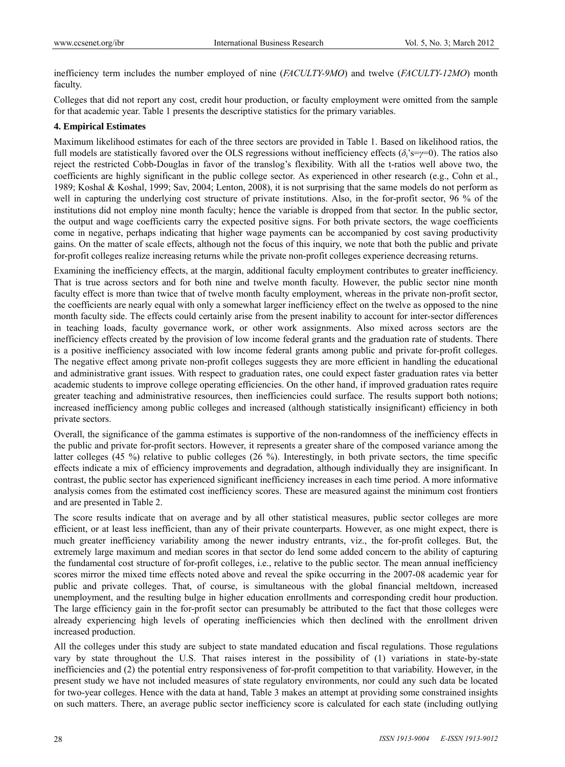inefficiency term includes the number employed of nine (*FACULTY-9MO*) and twelve (*FACULTY-12MO*) month faculty.

Colleges that did not report any cost, credit hour production, or faculty employment were omitted from the sample for that academic year. Table 1 presents the descriptive statistics for the primary variables.

### **4. Empirical Estimates**

Maximum likelihood estimates for each of the three sectors are provided in Table 1. Based on likelihood ratios, the full models are statistically favored over the OLS regressions without inefficiency effects  $(\delta_i s = \gamma = 0)$ . The ratios also reject the restricted Cobb-Douglas in favor of the translog's flexibility. With all the t-ratios well above two, the coefficients are highly significant in the public college sector. As experienced in other research (e.g., Cohn et al., 1989; Koshal & Koshal, 1999; Sav, 2004; Lenton, 2008), it is not surprising that the same models do not perform as well in capturing the underlying cost structure of private institutions. Also, in the for-profit sector, 96 % of the institutions did not employ nine month faculty; hence the variable is dropped from that sector. In the public sector, the output and wage coefficients carry the expected positive signs. For both private sectors, the wage coefficients come in negative, perhaps indicating that higher wage payments can be accompanied by cost saving productivity gains. On the matter of scale effects, although not the focus of this inquiry, we note that both the public and private for-profit colleges realize increasing returns while the private non-profit colleges experience decreasing returns.

Examining the inefficiency effects, at the margin, additional faculty employment contributes to greater inefficiency. That is true across sectors and for both nine and twelve month faculty. However, the public sector nine month faculty effect is more than twice that of twelve month faculty employment, whereas in the private non-profit sector, the coefficients are nearly equal with only a somewhat larger inefficiency effect on the twelve as opposed to the nine month faculty side. The effects could certainly arise from the present inability to account for inter-sector differences in teaching loads, faculty governance work, or other work assignments. Also mixed across sectors are the inefficiency effects created by the provision of low income federal grants and the graduation rate of students. There is a positive inefficiency associated with low income federal grants among public and private for-profit colleges. The negative effect among private non-profit colleges suggests they are more efficient in handling the educational and administrative grant issues. With respect to graduation rates, one could expect faster graduation rates via better academic students to improve college operating efficiencies. On the other hand, if improved graduation rates require greater teaching and administrative resources, then inefficiencies could surface. The results support both notions; increased inefficiency among public colleges and increased (although statistically insignificant) efficiency in both private sectors.

Overall, the significance of the gamma estimates is supportive of the non-randomness of the inefficiency effects in the public and private for-profit sectors. However, it represents a greater share of the composed variance among the latter colleges (45 %) relative to public colleges (26 %). Interestingly, in both private sectors, the time specific effects indicate a mix of efficiency improvements and degradation, although individually they are insignificant. In contrast, the public sector has experienced significant inefficiency increases in each time period. A more informative analysis comes from the estimated cost inefficiency scores. These are measured against the minimum cost frontiers and are presented in Table 2.

The score results indicate that on average and by all other statistical measures, public sector colleges are more efficient, or at least less inefficient, than any of their private counterparts. However, as one might expect, there is much greater inefficiency variability among the newer industry entrants, viz., the for-profit colleges. But, the extremely large maximum and median scores in that sector do lend some added concern to the ability of capturing the fundamental cost structure of for-profit colleges, i.e., relative to the public sector. The mean annual inefficiency scores mirror the mixed time effects noted above and reveal the spike occurring in the 2007-08 academic year for public and private colleges. That, of course, is simultaneous with the global financial meltdown, increased unemployment, and the resulting bulge in higher education enrollments and corresponding credit hour production. The large efficiency gain in the for-profit sector can presumably be attributed to the fact that those colleges were already experiencing high levels of operating inefficiencies which then declined with the enrollment driven increased production.

All the colleges under this study are subject to state mandated education and fiscal regulations. Those regulations vary by state throughout the U.S. That raises interest in the possibility of (1) variations in state-by-state inefficiencies and (2) the potential entry responsiveness of for-profit competition to that variability. However, in the present study we have not included measures of state regulatory environments, nor could any such data be located for two-year colleges. Hence with the data at hand, Table 3 makes an attempt at providing some constrained insights on such matters. There, an average public sector inefficiency score is calculated for each state (including outlying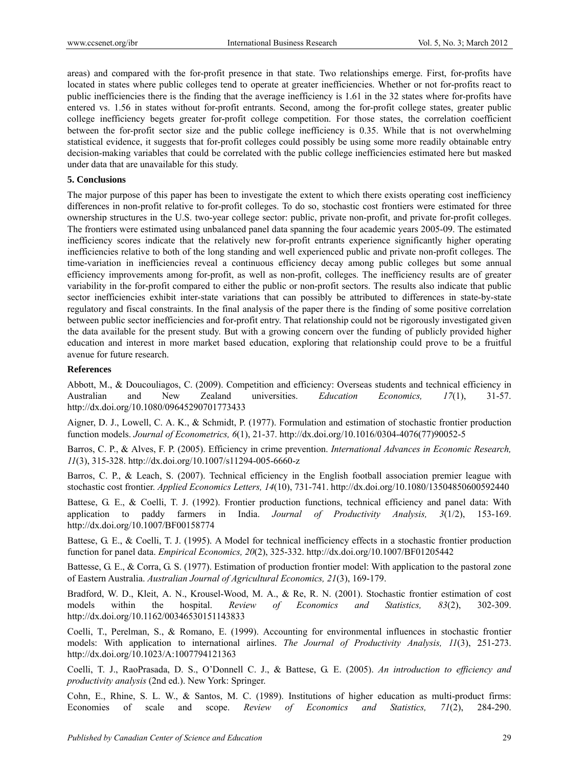areas) and compared with the for-profit presence in that state. Two relationships emerge. First, for-profits have located in states where public colleges tend to operate at greater inefficiencies. Whether or not for-profits react to public inefficiencies there is the finding that the average inefficiency is 1.61 in the 32 states where for-profits have entered vs. 1.56 in states without for-profit entrants. Second, among the for-profit college states, greater public college inefficiency begets greater for-profit college competition. For those states, the correlation coefficient between the for-profit sector size and the public college inefficiency is 0.35. While that is not overwhelming statistical evidence, it suggests that for-profit colleges could possibly be using some more readily obtainable entry decision-making variables that could be correlated with the public college inefficiencies estimated here but masked under data that are unavailable for this study.

#### **5. Conclusions**

The major purpose of this paper has been to investigate the extent to which there exists operating cost inefficiency differences in non-profit relative to for-profit colleges. To do so, stochastic cost frontiers were estimated for three ownership structures in the U.S. two-year college sector: public, private non-profit, and private for-profit colleges. The frontiers were estimated using unbalanced panel data spanning the four academic years 2005-09. The estimated inefficiency scores indicate that the relatively new for-profit entrants experience significantly higher operating inefficiencies relative to both of the long standing and well experienced public and private non-profit colleges. The time-variation in inefficiencies reveal a continuous efficiency decay among public colleges but some annual efficiency improvements among for-profit, as well as non-profit, colleges. The inefficiency results are of greater variability in the for-profit compared to either the public or non-profit sectors. The results also indicate that public sector inefficiencies exhibit inter-state variations that can possibly be attributed to differences in state-by-state regulatory and fiscal constraints. In the final analysis of the paper there is the finding of some positive correlation between public sector inefficiencies and for-profit entry. That relationship could not be rigorously investigated given the data available for the present study. But with a growing concern over the funding of publicly provided higher education and interest in more market based education, exploring that relationship could prove to be a fruitful avenue for future research.

#### **References**

Abbott, M., & Doucouliagos, C. (2009). Competition and efficiency: Overseas students and technical efficiency in Australian and New Zealand universities. *Education Economics, 17*(1), 31-57. http://dx.doi.org/10.1080/09645290701773433

Aigner, D. J., Lowell, C. A. K., & Schmidt, P. (1977). Formulation and estimation of stochastic frontier production function models. *Journal of Econometrics, 6*(1), 21-37. http://dx.doi.org/10.1016/0304-4076(77)90052-5

Barros, C. P., & Alves, F. P. (2005). Efficiency in crime prevention. *International Advances in Economic Research, 11*(3), 315-328. http://dx.doi.org/10.1007/s11294-005-6660-z

Barros, C. P., & Leach, S. (2007). Technical efficiency in the English football association premier league with stochastic cost frontier. *Applied Economics Letters, 14*(10), 731-741. http://dx.doi.org/10.1080/13504850600592440

Battese, G. E., & Coelli, T. J. (1992). Frontier production functions, technical efficiency and panel data: With application to paddy farmers in India. *Journal of Productivity Analysis, 3*(1/2), 153-169. http://dx.doi.org/10.1007/BF00158774

Battese, G. E., & Coelli, T. J. (1995). A Model for technical inefficiency effects in a stochastic frontier production function for panel data. *Empirical Economics, 20*(2), 325-332. http://dx.doi.org/10.1007/BF01205442

Battesse, G. E., & Corra, G. S. (1977). Estimation of production frontier model: With application to the pastoral zone of Eastern Australia. *Australian Journal of Agricultural Economics, 21*(3), 169-179.

Bradford, W. D., Kleit, A. N., Krousel-Wood, M. A., & Re, R. N. (2001). Stochastic frontier estimation of cost models within the hospital. *Review of Economics and Statistics, 83*(2), 302-309. http://dx.doi.org/10.1162/00346530151143833

Coelli, T., Perelman, S., & Romano, E. (1999). Accounting for environmental influences in stochastic frontier models: With application to international airlines. *The Journal of Productivity Analysis, 11*(3), 251-273. http://dx.doi.org/10.1023/A:1007794121363

Coelli, T. J., RaoPrasada, D. S., O'Donnell C. J., & Battese, G. E. (2005). *An introduction to efficiency and productivity analysis* (2nd ed.). New York: Springer.

Cohn, E., Rhine, S. L. W., & Santos, M. C. (1989). Institutions of higher education as multi-product firms: Economies of scale and scope. *Review of Economics and Statistics, 71*(2), 284-290.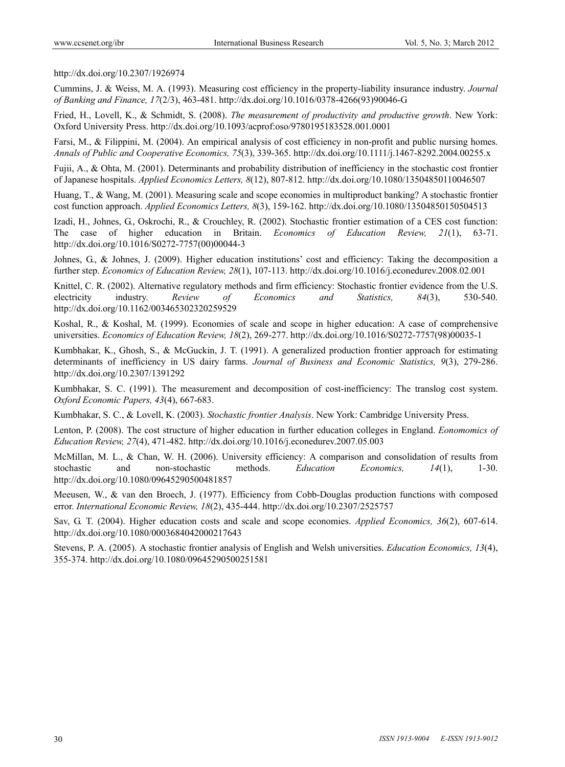#### http://dx.doi.org/10.2307/1926974

Cummins, J. & Weiss, M. A. (1993). Measuring cost efficiency in the property-liability insurance industry. *Journal of Banking and Finance, 17*(2/3), 463-481. http://dx.doi.org/10.1016/0378-4266(93)90046-G

Fried, H., Lovell, K., & Schmidt, S. (2008). *The measurement of productivity and productive growth*. New York: Oxford University Press. http://dx.doi.org/10.1093/acprof:oso/9780195183528.001.0001

Farsi, M., & Filippini, M. (2004). An empirical analysis of cost efficiency in non-profit and public nursing homes. *Annals of Public and Cooperative Economics, 75*(3), 339-365. http://dx.doi.org/10.1111/j.1467-8292.2004.00255.x

Fujii, A., & Ohta, M. (2001). Determinants and probability distribution of inefficiency in the stochastic cost frontier of Japanese hospitals. *Applied Economics Letters, 8*(12), 807-812. http://dx.doi.org/10.1080/13504850110046507

Huang, T., & Wang, M. (2001). Measuring scale and scope economies in multiproduct banking? A stochastic frontier cost function approach. *Applied Economics Letters, 8*(3), 159-162. http://dx.doi.org/10.1080/13504850150504513

Izadi, H., Johnes, G., Oskrochi, R., & Crouchley, R. (2002). Stochastic frontier estimation of a CES cost function: The case of higher education in Britain. *Economics of Education Review, 21*(1), 63-71. http://dx.doi.org/10.1016/S0272-7757(00)00044-3

Johnes, G., & Johnes, J. (2009). Higher education institutions' cost and efficiency: Taking the decomposition a further step. *Economics of Education Review, 28*(1), 107-113. http://dx.doi.org/10.1016/j.econedurev.2008.02.001

Knittel, C. R. (2002). Alternative regulatory methods and firm efficiency: Stochastic frontier evidence from the U.S. electricity industry. *Review of Economics and Statistics, 84*(3), 530-540. http://dx.doi.org/10.1162/003465302320259529

Koshal, R., & Koshal, M. (1999). Economies of scale and scope in higher education: A case of comprehensive universities. *Economics of Education Review, 18*(2), 269-277. http://dx.doi.org/10.1016/S0272-7757(98)00035-1

Kumbhakar, K., Ghosh, S., & McGuckin, J. T. (1991). A generalized production frontier approach for estimating determinants of inefficiency in US dairy farms. *Journal of Business and Economic Statistics, 9*(3), 279-286. http://dx.doi.org/10.2307/1391292

Kumbhakar, S. C. (1991). The measurement and decomposition of cost-inefficiency: The translog cost system. *Oxford Economic Papers, 43*(4), 667-683.

Kumbhakar, S. C., & Lovell, K. (2003). *Stochastic frontier Analysis*. New York: Cambridge University Press.

Lenton, P. (2008). The cost structure of higher education in further education colleges in England. *Eonomomics of Education Review, 27*(4), 471-482. http://dx.doi.org/10.1016/j.econedurev.2007.05.003

McMillan, M. L., & Chan, W. H. (2006). University efficiency: A comparison and consolidation of results from stochastic and non-stochastic methods. *Education Economics, 14*(1), 1-30. http://dx.doi.org/10.1080/09645290500481857

Meeusen, W., & van den Broech, J. (1977). Efficiency from Cobb-Douglas production functions with composed error. *International Economic Review, 18*(2), 435-444. http://dx.doi.org/10.2307/2525757

Sav, G. T. (2004). Higher education costs and scale and scope economies. *Applied Economics, 36*(2), 607-614. http://dx.doi.org/10.1080/0003684042000217643

Stevens, P. A. (2005). A stochastic frontier analysis of English and Welsh universities. *Education Economics, 13*(4), 355-374. http://dx.doi.org/10.1080/09645290500251581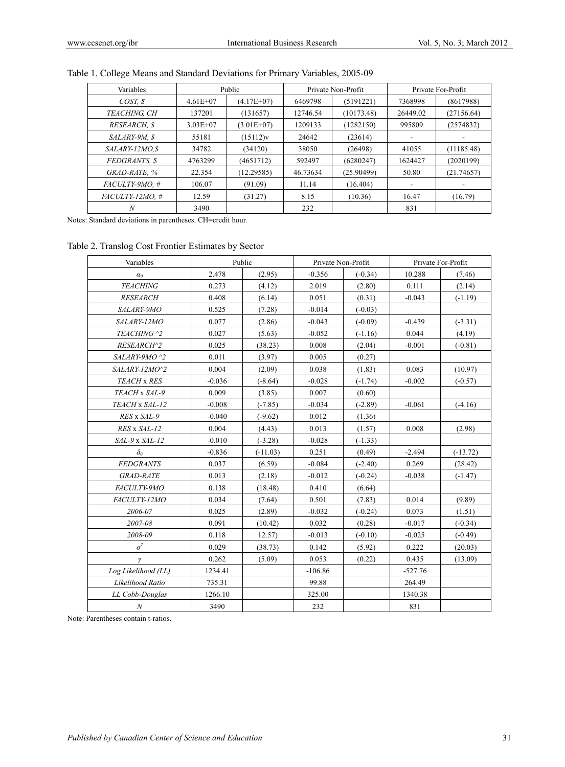| Variables         | Public       |              | Private Non-Profit |            | Private For-Profit       |            |
|-------------------|--------------|--------------|--------------------|------------|--------------------------|------------|
| COST. \$          | $4.61E + 07$ | $(4.17E+07)$ | 6469798            | (5191221)  | 7368998                  | (8617988)  |
| TEACHING. CH      | 137201       | (131657)     | 12746.54           | (10173.48) | 26449.02                 | (27156.64) |
| RESEARCH. \$      | $3.03E + 07$ | $(3.01E+07)$ | 1209133            | (1282150)  | 995809                   | (2574832)  |
| SALARY-9M, \$     | 55181        | (15112)v     | 24642              | (23614)    |                          |            |
| SALARY-12MO.S     | 34782        | (34120)      | 38050              | (26498)    | 41055                    | (11185.48) |
| FEDGRANTS. \$     | 4763299      | (4651712)    | 592497             | (6280247)  | 1624427                  | (2020199)  |
| GRAD-RATE, %      | 22.354       | (12.29585)   | 46.73634           | (25.90499) | 50.80                    | (21.74657) |
| FACULTY-9MO. #    | 106.07       | (91.09)      | 11.14              | (16.404)   | $\overline{\phantom{a}}$ |            |
| $FACUITY-12MO.$ # | 12.59        | (31.27)      | 8.15               | (10.36)    | 16.47                    | (16.79)    |
| N                 | 3490         |              | 232                |            | 831                      |            |

# Table 1. College Means and Standard Deviations for Primary Variables, 2005-09

Notes: Standard deviations in parentheses. CH=credit hour.

#### Table 2. Translog Cost Frontier Estimates by Sector

| Variables           | Public   |            | Private Non-Profit |           | Private For-Profit |            |
|---------------------|----------|------------|--------------------|-----------|--------------------|------------|
| $\alpha_0$          | 2.478    | (2.95)     | $-0.356$           | $(-0.34)$ | 10.288             | (7.46)     |
| <b>TEACHING</b>     | 0.273    | (4.12)     | 2.019              | (2.80)    | 0.111              | (2.14)     |
| <b>RESEARCH</b>     | 0.408    | (6.14)     | 0.051              | (0.31)    | $-0.043$           | $(-1.19)$  |
| SALARY-9MO          | 0.525    | (7.28)     | $-0.014$           | $(-0.03)$ |                    |            |
| SALARY-12MO         | 0.077    | (2.86)     | $-0.043$           | $(-0.09)$ | $-0.439$           | $(-3.31)$  |
| TEACHING ^2         | 0.027    | (5.63)     | $-0.052$           | $(-1.16)$ | 0.044              | (4.19)     |
| RESEARCH^2          | 0.025    | (38.23)    | 0.008              | (2.04)    | $-0.001$           | $(-0.81)$  |
| $SALARY-9MO$ ^2     | 0.011    | (3.97)     | 0.005              | (0.27)    |                    |            |
| SALARY-12MO^2       | 0.004    | (2.09)     | 0.038              | (1.83)    | 0.083              | (10.97)    |
| TEACH x RES         | $-0.036$ | $(-8.64)$  | $-0.028$           | $(-1.74)$ | $-0.002$           | $(-0.57)$  |
| TEACH x SAL-9       | 0.009    | (3.85)     | 0.007              | (0.60)    |                    |            |
| TEACH x SAL-12      | $-0.008$ | $(-7.85)$  | $-0.034$           | $(-2.89)$ | $-0.061$           | $(-4.16)$  |
| RES x SAL-9         | $-0.040$ | $(-9.62)$  | 0.012              | (1.36)    |                    |            |
| RES x SAL-12        | 0.004    | (4.43)     | 0.013              | (1.57)    | 0.008              | (2.98)     |
| SAL-9 x SAL-12      | $-0.010$ | $(-3.28)$  | $-0.028$           | $(-1.33)$ |                    |            |
| $\delta_{\theta}$   | $-0.836$ | $(-11.03)$ | 0.251              | (0.49)    | $-2.494$           | $(-13.72)$ |
| <b>FEDGRANTS</b>    | 0.037    | (6.59)     | $-0.084$           | $(-2.40)$ | 0.269              | (28.42)    |
| <b>GRAD-RATE</b>    | 0.013    | (2.18)     | $-0.012$           | $(-0.24)$ | $-0.038$           | $(-1.47)$  |
| FACULTY-9MO         | 0.138    | (18.48)    | 0.410              | (6.64)    |                    |            |
| FACULTY-12MO        | 0.034    | (7.64)     | 0.501              | (7.83)    | 0.014              | (9.89)     |
| 2006-07             | 0.025    | (2.89)     | $-0.032$           | $(-0.24)$ | 0.073              | (1.51)     |
| 2007-08             | 0.091    | (10.42)    | 0.032              | (0.28)    | $-0.017$           | $(-0.34)$  |
| 2008-09             | 0.118    | 12.57)     | $-0.013$           | $(-0.10)$ | $-0.025$           | $(-0.49)$  |
| $\sigma^2$          | 0.029    | (38.73)    | 0.142              | (5.92)    | 0.222              | (20.03)    |
| $\gamma$            | 0.262    | (5.09)     | 0.053              | (0.22)    | 0.435              | (13.09)    |
| Log Likelihood (LL) | 1234.41  |            | $-106.86$          |           | $-527.76$          |            |
| Likelihood Ratio    | 735.31   |            | 99.88              |           | 264.49             |            |
| LL Cobb-Douglas     | 1266.10  |            | 325.00             |           | 1340.38            |            |
| $\boldsymbol{N}$    | 3490     |            | 232                |           | 831                |            |

Note: Parentheses contain t-ratios.